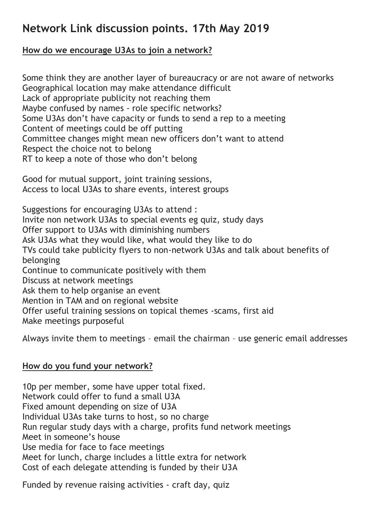## **Network Link discussion points. 17th May 2019**

## **How do we encourage U3As to join a network?**

Some think they are another layer of bureaucracy or are not aware of networks Geographical location may make attendance difficult Lack of appropriate publicity not reaching them Maybe confused by names - role specific networks? Some U3As don't have capacity or funds to send a rep to a meeting Content of meetings could be off putting Committee changes might mean new officers don't want to attend Respect the choice not to belong RT to keep a note of those who don't belong

Good for mutual support, joint training sessions, Access to local U3As to share events, interest groups

Suggestions for encouraging U3As to attend : Invite non network U3As to special events eg quiz, study days Offer support to U3As with diminishing numbers Ask U3As what they would like, what would they like to do TVs could take publicity flyers to non-network U3As and talk about benefits of belonging Continue to communicate positively with them Discuss at network meetings Ask them to help organise an event Mention in TAM and on regional website Offer useful training sessions on topical themes -scams, first aid Make meetings purposeful

Always invite them to meetings – email the chairman – use generic email addresses

## **How do you fund your network?**

10p per member, some have upper total fixed. Network could offer to fund a small U3A Fixed amount depending on size of U3A Individual U3As take turns to host, so no charge Run regular study days with a charge, profits fund network meetings Meet in someone's house Use media for face to face meetings Meet for lunch, charge includes a little extra for network Cost of each delegate attending is funded by their U3A

Funded by revenue raising activities - craft day, quiz